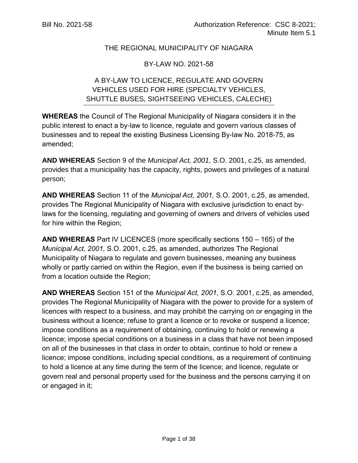## THE REGIONAL MUNICIPALITY OF NIAGARA

#### BY-LAW NO. 2021-58

# A BY-LAW TO LICENCE, REGULATE AND GOVERN VEHICLES USED FOR HIRE (SPECIALTY VEHICLES, SHUTTLE BUSES, SIGHTSEEING VEHICLES, CALECHE)

**WHEREAS** the Council of The Regional Municipality of Niagara considers it in the public interest to enact a by-law to licence, regulate and govern various classes of businesses and to repeal the existing Business Licensing By-law No. 2018-75, as amended;

**AND WHEREAS** Section 9 of the *Municipal Act, 2001,* S.O. 2001, c.25, as amended, provides that a municipality has the capacity, rights, powers and privileges of a natural person;

**AND WHEREAS** Section 11 of the *Municipal Act, 2001,* S.O. 2001, c.25, as amended, provides The Regional Municipality of Niagara with exclusive jurisdiction to enact bylaws for the licensing, regulating and governing of owners and drivers of vehicles used for hire within the Region;

**AND WHEREAS** Part IV LICENCES (more specifically sections 150 – 165) of the *Municipal Act, 2001,* S.O. 2001, c.25, as amended, authorizes The Regional Municipality of Niagara to regulate and govern businesses, meaning any business wholly or partly carried on within the Region, even if the business is being carried on from a location outside the Region;

**AND WHEREAS** Section 151 of the *Municipal Act, 2001,* S.O. 2001, c.25, as amended, provides The Regional Municipality of Niagara with the power to provide for a system of licences with respect to a business, and may prohibit the carrying on or engaging in the business without a licence; refuse to grant a licence or to revoke or suspend a licence; impose conditions as a requirement of obtaining, continuing to hold or renewing a licence; impose special conditions on a business in a class that have not been imposed on all of the businesses in that class in order to obtain, continue to hold or renew a licence; impose conditions, including special conditions, as a requirement of continuing to hold a licence at any time during the term of the licence; and licence, regulate or govern real and personal property used for the business and the persons carrying it on or engaged in it;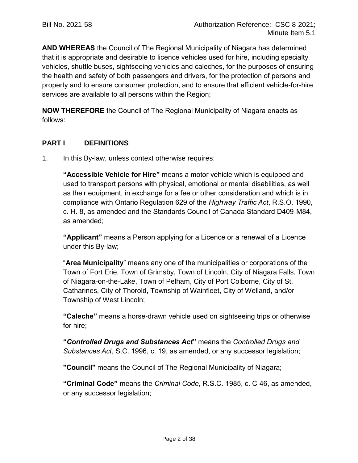**AND WHEREAS** the Council of The Regional Municipality of Niagara has determined that it is appropriate and desirable to licence vehicles used for hire, including specialty vehicles, shuttle buses, sightseeing vehicles and caleches, for the purposes of ensuring the health and safety of both passengers and drivers, for the protection of persons and property and to ensure consumer protection, and to ensure that efficient vehicle-for-hire services are available to all persons within the Region;

**NOW THEREFORE** the Council of The Regional Municipality of Niagara enacts as follows:

## **PART I DEFINITIONS**

1. In this By-law, unless context otherwise requires:

**"Accessible Vehicle for Hire"** means a motor vehicle which is equipped and used to transport persons with physical, emotional or mental disabilities, as well as their equipment, in exchange for a fee or other consideration and which is in compliance with Ontario Regulation 629 of the *Highway Traffic Act*, R.S.O. 1990, c. H. 8, as amended and the Standards Council of Canada Standard D409-M84, as amended;

**"Applicant"** means a Person applying for a Licence or a renewal of a Licence under this By-law;

"**Area Municipality**" means any one of the municipalities or corporations of the Town of Fort Erie, Town of Grimsby, Town of Lincoln, City of Niagara Falls, Town of Niagara-on-the-Lake, Town of Pelham, City of Port Colborne, City of St. Catharines, City of Thorold, Township of Wainfleet, City of Welland, and/or Township of West Lincoln;

**"Caleche"** means a horse-drawn vehicle used on sightseeing trips or otherwise for hire;

**"***Controlled Drugs and Substances Act***"** means the *Controlled Drugs and Substances Act*, S.C. 1996, c. 19, as amended, or any successor legislation;

**"Council"** means the Council of The Regional Municipality of Niagara;

**"Criminal Code"** means the *Criminal Code*, R.S.C. 1985, c. C-46, as amended, or any successor legislation;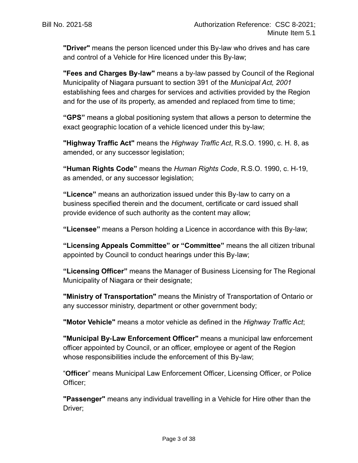**"Driver"** means the person licenced under this By-law who drives and has care and control of a Vehicle for Hire licenced under this By-law;

**"Fees and Charges By-law"** means a by-law passed by Council of the Regional Municipality of Niagara pursuant to section 391 of the *Municipal Act, 2001* establishing fees and charges for services and activities provided by the Region and for the use of its property, as amended and replaced from time to time;

**"GPS"** means a global positioning system that allows a person to determine the exact geographic location of a vehicle licenced under this by-law;

**"Highway Traffic Act"** means the *Highway Traffic Act*, R.S.O. 1990, c. H. 8, as amended, or any successor legislation;

**"Human Rights Code"** means the *Human Rights Code*, R.S.O. 1990, c. H-19, as amended, or any successor legislation;

**"Licence"** means an authorization issued under this By-law to carry on a business specified therein and the document, certificate or card issued shall provide evidence of such authority as the content may allow;

**"Licensee"** means a Person holding a Licence in accordance with this By-law;

**"Licensing Appeals Committee" or "Committee"** means the all citizen tribunal appointed by Council to conduct hearings under this By-law;

**"Licensing Officer"** means the Manager of Business Licensing for The Regional Municipality of Niagara or their designate;

**"Ministry of Transportation"** means the Ministry of Transportation of Ontario or any successor ministry, department or other government body;

**"Motor Vehicle"** means a motor vehicle as defined in the *Highway Traffic Act*;

**"Municipal By-Law Enforcement Officer"** means a municipal law enforcement officer appointed by Council, or an officer, employee or agent of the Region whose responsibilities include the enforcement of this By-law;

"**Officer**" means Municipal Law Enforcement Officer, Licensing Officer, or Police Officer;

**"Passenger"** means any individual travelling in a Vehicle for Hire other than the Driver;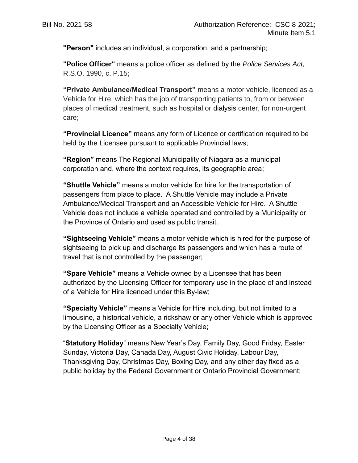**"Person"** includes an individual, a corporation, and a partnership;

**"Police Officer"** means a police officer as defined by the *Police Services Act,* R.S.O. 1990, c. P.15;

**"Private Ambulance/Medical Transport"** means a motor vehicle, licenced as a Vehicle for Hire, which has the job of transporting patients to, from or between places of medical treatment, such as hospital or dialysis center, for non-urgent care;

**"Provincial Licence"** means any form of Licence or certification required to be held by the Licensee pursuant to applicable Provincial laws;

**"Region"** means The Regional Municipality of Niagara as a municipal corporation and, where the context requires, its geographic area;

**"Shuttle Vehicle"** means a motor vehicle for hire for the transportation of passengers from place to place. A Shuttle Vehicle may include a Private Ambulance/Medical Transport and an Accessible Vehicle for Hire. A Shuttle Vehicle does not include a vehicle operated and controlled by a Municipality or the Province of Ontario and used as public transit.

**"Sightseeing Vehicle"** means a motor vehicle which is hired for the purpose of sightseeing to pick up and discharge its passengers and which has a route of travel that is not controlled by the passenger;

**"Spare Vehicle"** means a Vehicle owned by a Licensee that has been authorized by the Licensing Officer for temporary use in the place of and instead of a Vehicle for Hire licenced under this By-law;

**"Specialty Vehicle"** means a Vehicle for Hire including, but not limited to a limousine, a historical vehicle, a rickshaw or any other Vehicle which is approved by the Licensing Officer as a Specialty Vehicle;

"**Statutory Holiday**" means New Year's Day, Family Day, Good Friday, Easter Sunday, Victoria Day, Canada Day, August Civic Holiday, Labour Day, Thanksgiving Day, Christmas Day, Boxing Day, and any other day fixed as a public holiday by the Federal Government or Ontario Provincial Government;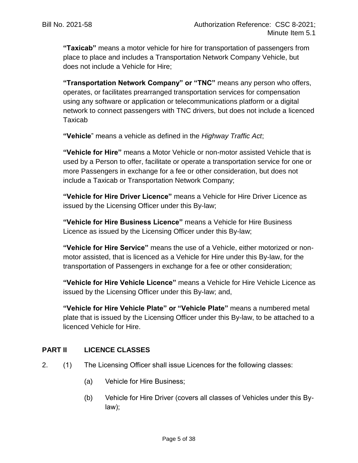**"Taxicab"** means a motor vehicle for hire for transportation of passengers from place to place and includes a Transportation Network Company Vehicle, but does not include a Vehicle for Hire;

**"Transportation Network Company" or "TNC"** means any person who offers, operates, or facilitates prearranged transportation services for compensation using any software or application or telecommunications platform or a digital network to connect passengers with TNC drivers, but does not include a licenced Taxicab

**"Vehicle**" means a vehicle as defined in the *Highway Traffic Act*;

**"Vehicle for Hire"** means a Motor Vehicle or non-motor assisted Vehicle that is used by a Person to offer, facilitate or operate a transportation service for one or more Passengers in exchange for a fee or other consideration, but does not include a Taxicab or Transportation Network Company;

**"Vehicle for Hire Driver Licence"** means a Vehicle for Hire Driver Licence as issued by the Licensing Officer under this By-law;

**"Vehicle for Hire Business Licence"** means a Vehicle for Hire Business Licence as issued by the Licensing Officer under this By-law;

**"Vehicle for Hire Service"** means the use of a Vehicle, either motorized or nonmotor assisted, that is licenced as a Vehicle for Hire under this By-law, for the transportation of Passengers in exchange for a fee or other consideration;

**"Vehicle for Hire Vehicle Licence"** means a Vehicle for Hire Vehicle Licence as issued by the Licensing Officer under this By-law; and,

**"Vehicle for Hire Vehicle Plate" or "Vehicle Plate"** means a numbered metal plate that is issued by the Licensing Officer under this By-law, to be attached to a licenced Vehicle for Hire.

## **PART II LICENCE CLASSES**

- 2. (1) The Licensing Officer shall issue Licences for the following classes:
	- (a) Vehicle for Hire Business;
	- (b) Vehicle for Hire Driver (covers all classes of Vehicles under this Bylaw);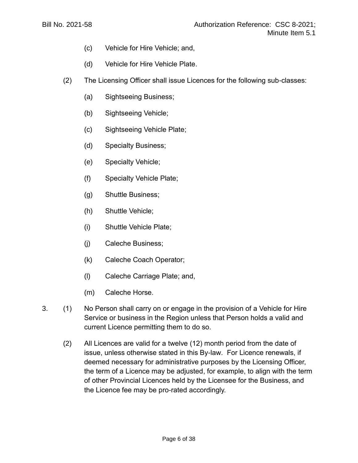- (c) Vehicle for Hire Vehicle; and,
- (d) Vehicle for Hire Vehicle Plate.
- (2) The Licensing Officer shall issue Licences for the following sub-classes:
	- (a) Sightseeing Business;
	- (b) Sightseeing Vehicle;
	- (c) Sightseeing Vehicle Plate;
	- (d) Specialty Business;
	- (e) Specialty Vehicle;
	- (f) Specialty Vehicle Plate;
	- (g) Shuttle Business;
	- (h) Shuttle Vehicle;
	- (i) Shuttle Vehicle Plate;
	- (j) Caleche Business;
	- (k) Caleche Coach Operator;
	- (l) Caleche Carriage Plate; and,
	- (m) Caleche Horse.
- 3. (1) No Person shall carry on or engage in the provision of a Vehicle for Hire Service or business in the Region unless that Person holds a valid and current Licence permitting them to do so.
	- (2) All Licences are valid for a twelve (12) month period from the date of issue, unless otherwise stated in this By-law. For Licence renewals, if deemed necessary for administrative purposes by the Licensing Officer, the term of a Licence may be adjusted, for example, to align with the term of other Provincial Licences held by the Licensee for the Business, and the Licence fee may be pro-rated accordingly.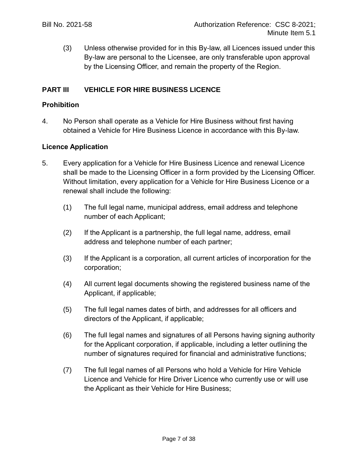(3) Unless otherwise provided for in this By-law, all Licences issued under this By-law are personal to the Licensee, are only transferable upon approval by the Licensing Officer, and remain the property of the Region.

## **PART III VEHICLE FOR HIRE BUSINESS LICENCE**

## **Prohibition**

4. No Person shall operate as a Vehicle for Hire Business without first having obtained a Vehicle for Hire Business Licence in accordance with this By-law.

#### **Licence Application**

- 5. Every application for a Vehicle for Hire Business Licence and renewal Licence shall be made to the Licensing Officer in a form provided by the Licensing Officer. Without limitation, every application for a Vehicle for Hire Business Licence or a renewal shall include the following:
	- (1) The full legal name, municipal address, email address and telephone number of each Applicant;
	- (2) If the Applicant is a partnership, the full legal name, address, email address and telephone number of each partner;
	- (3) If the Applicant is a corporation, all current articles of incorporation for the corporation;
	- (4) All current legal documents showing the registered business name of the Applicant, if applicable;
	- (5) The full legal names dates of birth, and addresses for all officers and directors of the Applicant, if applicable;
	- (6) The full legal names and signatures of all Persons having signing authority for the Applicant corporation, if applicable, including a letter outlining the number of signatures required for financial and administrative functions;
	- (7) The full legal names of all Persons who hold a Vehicle for Hire Vehicle Licence and Vehicle for Hire Driver Licence who currently use or will use the Applicant as their Vehicle for Hire Business;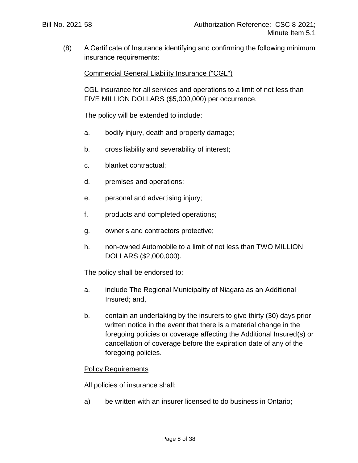(8) A Certificate of Insurance identifying and confirming the following minimum insurance requirements:

Commercial General Liability Insurance ("CGL")

CGL insurance for all services and operations to a limit of not less than FIVE MILLION DOLLARS (\$5,000,000) per occurrence.

The policy will be extended to include:

- a. bodily injury, death and property damage;
- b. cross liability and severability of interest;
- c. blanket contractual;
- d. premises and operations;
- e. personal and advertising injury;
- f. products and completed operations;
- g. owner's and contractors protective;
- h. non-owned Automobile to a limit of not less than TWO MILLION DOLLARS (\$2,000,000).

The policy shall be endorsed to:

- a. include The Regional Municipality of Niagara as an Additional Insured; and,
- b. contain an undertaking by the insurers to give thirty (30) days prior written notice in the event that there is a material change in the foregoing policies or coverage affecting the Additional Insured(s) or cancellation of coverage before the expiration date of any of the foregoing policies.

#### Policy Requirements

All policies of insurance shall:

a) be written with an insurer licensed to do business in Ontario;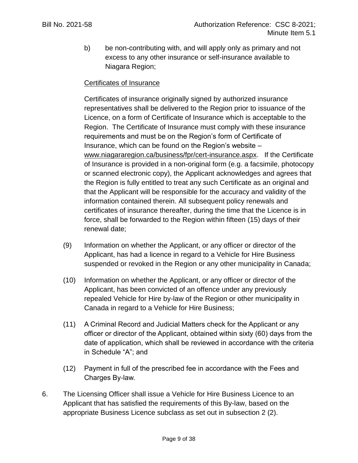b) be non-contributing with, and will apply only as primary and not excess to any other insurance or self-insurance available to Niagara Region;

## Certificates of Insurance

Certificates of insurance originally signed by authorized insurance representatives shall be delivered to the Region prior to issuance of the Licence, on a form of Certificate of Insurance which is acceptable to the Region. The Certificate of Insurance must comply with these insurance requirements and must be on the Region's form of Certificate of Insurance, which can be found on the Region's website – [www.niagararegion.ca/business/fpr/cert-insurance.aspx.](http://www.niagararegion.ca/business/fpr/cert-insurance.aspx) If the Certificate of Insurance is provided in a non-original form (e.g. a facsimile, photocopy or scanned electronic copy), the Applicant acknowledges and agrees that the Region is fully entitled to treat any such Certificate as an original and that the Applicant will be responsible for the accuracy and validity of the information contained therein. All subsequent policy renewals and certificates of insurance thereafter, during the time that the Licence is in force, shall be forwarded to the Region within fifteen (15) days of their renewal date;

- (9) Information on whether the Applicant, or any officer or director of the Applicant, has had a licence in regard to a Vehicle for Hire Business suspended or revoked in the Region or any other municipality in Canada;
- (10) Information on whether the Applicant, or any officer or director of the Applicant, has been convicted of an offence under any previously repealed Vehicle for Hire by-law of the Region or other municipality in Canada in regard to a Vehicle for Hire Business;
- (11) A Criminal Record and Judicial Matters check for the Applicant or any officer or director of the Applicant, obtained within sixty (60) days from the date of application, which shall be reviewed in accordance with the criteria in Schedule "A"; and
- (12) Payment in full of the prescribed fee in accordance with the Fees and Charges By-law.
- 6. The Licensing Officer shall issue a Vehicle for Hire Business Licence to an Applicant that has satisfied the requirements of this By-law, based on the appropriate Business Licence subclass as set out in subsection 2 (2).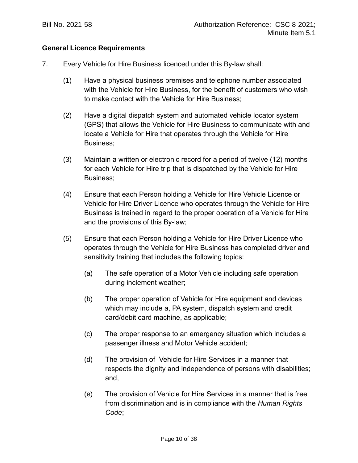## **General Licence Requirements**

- 7. Every Vehicle for Hire Business licenced under this By-law shall:
	- (1) Have a physical business premises and telephone number associated with the Vehicle for Hire Business, for the benefit of customers who wish to make contact with the Vehicle for Hire Business;
	- (2) Have a digital dispatch system and automated vehicle locator system (GPS) that allows the Vehicle for Hire Business to communicate with and locate a Vehicle for Hire that operates through the Vehicle for Hire Business;
	- (3) Maintain a written or electronic record for a period of twelve (12) months for each Vehicle for Hire trip that is dispatched by the Vehicle for Hire Business;
	- (4) Ensure that each Person holding a Vehicle for Hire Vehicle Licence or Vehicle for Hire Driver Licence who operates through the Vehicle for Hire Business is trained in regard to the proper operation of a Vehicle for Hire and the provisions of this By-law;
	- (5) Ensure that each Person holding a Vehicle for Hire Driver Licence who operates through the Vehicle for Hire Business has completed driver and sensitivity training that includes the following topics:
		- (a) The safe operation of a Motor Vehicle including safe operation during inclement weather;
		- (b) The proper operation of Vehicle for Hire equipment and devices which may include a, PA system, dispatch system and credit card/debit card machine, as applicable;
		- (c) The proper response to an emergency situation which includes a passenger illness and Motor Vehicle accident;
		- (d) The provision of Vehicle for Hire Services in a manner that respects the dignity and independence of persons with disabilities; and,
		- (e) The provision of Vehicle for Hire Services in a manner that is free from discrimination and is in compliance with the *Human Rights Code*;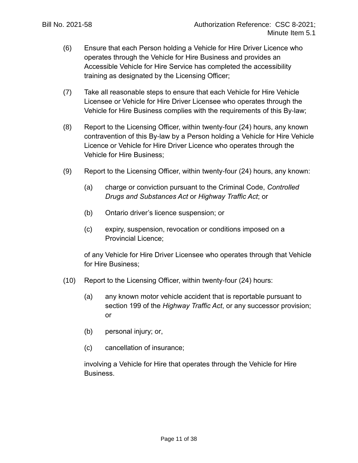- (6) Ensure that each Person holding a Vehicle for Hire Driver Licence who operates through the Vehicle for Hire Business and provides an Accessible Vehicle for Hire Service has completed the accessibility training as designated by the Licensing Officer;
- (7) Take all reasonable steps to ensure that each Vehicle for Hire Vehicle Licensee or Vehicle for Hire Driver Licensee who operates through the Vehicle for Hire Business complies with the requirements of this By-law;
- (8) Report to the Licensing Officer, within twenty-four (24) hours, any known contravention of this By-law by a Person holding a Vehicle for Hire Vehicle Licence or Vehicle for Hire Driver Licence who operates through the Vehicle for Hire Business;
- (9) Report to the Licensing Officer, within twenty-four (24) hours, any known:
	- (a) charge or conviction pursuant to the Criminal Code, *Controlled Drugs and Substances Act* or *Highway Traffic Act*; or
	- (b) Ontario driver's licence suspension; or
	- (c) expiry, suspension, revocation or conditions imposed on a Provincial Licence;

of any Vehicle for Hire Driver Licensee who operates through that Vehicle for Hire Business;

- (10) Report to the Licensing Officer, within twenty-four (24) hours:
	- (a) any known motor vehicle accident that is reportable pursuant to section 199 of the *Highway Traffic Act*, or any successor provision; or
	- (b) personal injury; or,
	- (c) cancellation of insurance;

involving a Vehicle for Hire that operates through the Vehicle for Hire Business.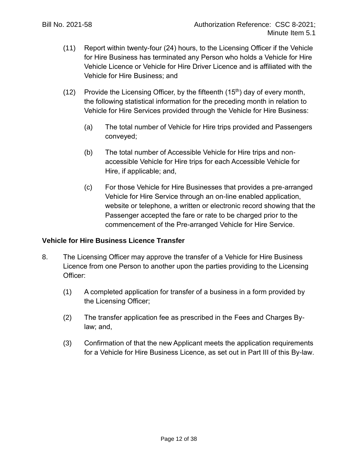- (11) Report within twenty-four (24) hours, to the Licensing Officer if the Vehicle for Hire Business has terminated any Person who holds a Vehicle for Hire Vehicle Licence or Vehicle for Hire Driver Licence and is affiliated with the Vehicle for Hire Business; and
- (12) Provide the Licensing Officer, by the fifteenth  $(15<sup>th</sup>)$  day of every month, the following statistical information for the preceding month in relation to Vehicle for Hire Services provided through the Vehicle for Hire Business:
	- (a) The total number of Vehicle for Hire trips provided and Passengers conveyed;
	- (b) The total number of Accessible Vehicle for Hire trips and nonaccessible Vehicle for Hire trips for each Accessible Vehicle for Hire, if applicable; and,
	- (c) For those Vehicle for Hire Businesses that provides a pre-arranged Vehicle for Hire Service through an on-line enabled application, website or telephone, a written or electronic record showing that the Passenger accepted the fare or rate to be charged prior to the commencement of the Pre-arranged Vehicle for Hire Service.

## **Vehicle for Hire Business Licence Transfer**

- 8. The Licensing Officer may approve the transfer of a Vehicle for Hire Business Licence from one Person to another upon the parties providing to the Licensing Officer:
	- (1) A completed application for transfer of a business in a form provided by the Licensing Officer;
	- (2) The transfer application fee as prescribed in the Fees and Charges Bylaw; and,
	- (3) Confirmation of that the new Applicant meets the application requirements for a Vehicle for Hire Business Licence, as set out in Part III of this By-law.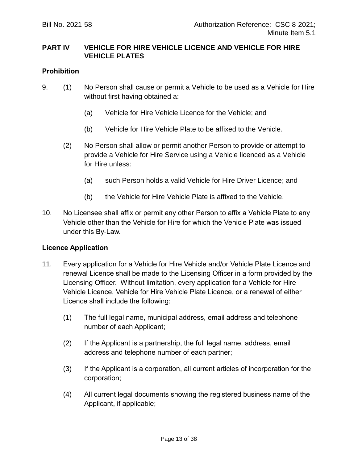## **PART IV VEHICLE FOR HIRE VEHICLE LICENCE AND VEHICLE FOR HIRE VEHICLE PLATES**

#### **Prohibition**

- 9. (1) No Person shall cause or permit a Vehicle to be used as a Vehicle for Hire without first having obtained a:
	- (a) Vehicle for Hire Vehicle Licence for the Vehicle; and
	- (b) Vehicle for Hire Vehicle Plate to be affixed to the Vehicle.
	- (2) No Person shall allow or permit another Person to provide or attempt to provide a Vehicle for Hire Service using a Vehicle licenced as a Vehicle for Hire unless:
		- (a) such Person holds a valid Vehicle for Hire Driver Licence; and
		- (b) the Vehicle for Hire Vehicle Plate is affixed to the Vehicle.
- 10. No Licensee shall affix or permit any other Person to affix a Vehicle Plate to any Vehicle other than the Vehicle for Hire for which the Vehicle Plate was issued under this By-Law.

#### **Licence Application**

- <span id="page-12-0"></span>11. Every application for a Vehicle for Hire Vehicle and/or Vehicle Plate Licence and renewal Licence shall be made to the Licensing Officer in a form provided by the Licensing Officer. Without limitation, every application for a Vehicle for Hire Vehicle Licence, Vehicle for Hire Vehicle Plate Licence, or a renewal of either Licence shall include the following:
	- (1) The full legal name, municipal address, email address and telephone number of each Applicant;
	- (2) If the Applicant is a partnership, the full legal name, address, email address and telephone number of each partner;
	- (3) If the Applicant is a corporation, all current articles of incorporation for the corporation;
	- (4) All current legal documents showing the registered business name of the Applicant, if applicable;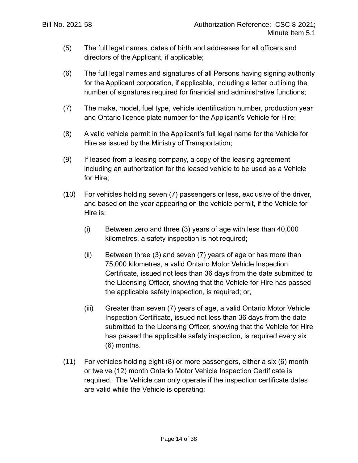- (5) The full legal names, dates of birth and addresses for all officers and directors of the Applicant, if applicable;
- (6) The full legal names and signatures of all Persons having signing authority for the Applicant corporation, if applicable, including a letter outlining the number of signatures required for financial and administrative functions;
- (7) The make, model, fuel type, vehicle identification number, production year and Ontario licence plate number for the Applicant's Vehicle for Hire;
- (8) A valid vehicle permit in the Applicant's full legal name for the Vehicle for Hire as issued by the Ministry of Transportation;
- (9) If leased from a leasing company, a copy of the leasing agreement including an authorization for the leased vehicle to be used as a Vehicle for Hire;
- (10) For vehicles holding seven (7) passengers or less, exclusive of the driver, and based on the year appearing on the vehicle permit, if the Vehicle for Hire is:
	- (i) Between zero and three (3) years of age with less than 40,000 kilometres, a safety inspection is not required;
	- (ii) Between three (3) and seven (7) years of age or has more than 75,000 kilometres, a valid Ontario Motor Vehicle Inspection Certificate, issued not less than 36 days from the date submitted to the Licensing Officer, showing that the Vehicle for Hire has passed the applicable safety inspection, is required; or,
	- (iii) Greater than seven (7) years of age, a valid Ontario Motor Vehicle Inspection Certificate, issued not less than 36 days from the date submitted to the Licensing Officer, showing that the Vehicle for Hire has passed the applicable safety inspection, is required every six (6) months.
- (11) For vehicles holding eight (8) or more passengers, either a six (6) month or twelve (12) month Ontario Motor Vehicle Inspection Certificate is required. The Vehicle can only operate if the inspection certificate dates are valid while the Vehicle is operating;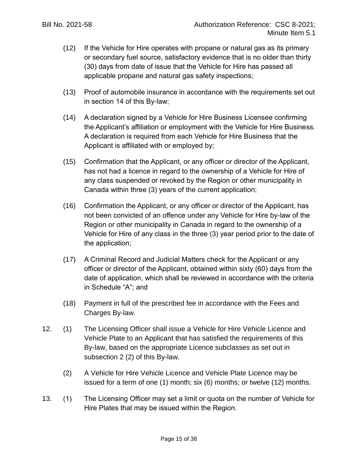- (12) If the Vehicle for Hire operates with propane or natural gas as its primary or secondary fuel source, satisfactory evidence that is no older than thirty (30) days from date of issue that the Vehicle for Hire has passed all applicable propane and natural gas safety inspections;
- (13) Proof of automobile insurance in accordance with the requirements set out in section [14](#page-15-0) of this By-law;
- (14) A declaration signed by a Vehicle for Hire Business Licensee confirming the Applicant's affiliation or employment with the Vehicle for Hire Business. A declaration is required from each Vehicle for Hire Business that the Applicant is affiliated with or employed by;
- (15) Confirmation that the Applicant, or any officer or director of the Applicant, has not had a licence in regard to the ownership of a Vehicle for Hire of any class suspended or revoked by the Region or other municipality in Canada within three (3) years of the current application;
- (16) Confirmation the Applicant, or any officer or director of the Applicant, has not been convicted of an offence under any Vehicle for Hire by-law of the Region or other municipality in Canada in regard to the ownership of a Vehicle for Hire of any class in the three (3) year period prior to the date of the application;
- (17) A Criminal Record and Judicial Matters check for the Applicant or any officer or director of the Applicant, obtained within sixty (60) days from the date of application, which shall be reviewed in accordance with the criteria in Schedule "A"; and
- (18) Payment in full of the prescribed fee in accordance with the Fees and Charges By-law.
- 12. (1) The Licensing Officer shall issue a Vehicle for Hire Vehicle Licence and Vehicle Plate to an Applicant that has satisfied the requirements of this By-law, based on the appropriate Licence subclasses as set out in subsection 2 (2) of this By-law.
	- (2) A Vehicle for Hire Vehicle Licence and Vehicle Plate Licence may be issued for a term of one (1) month; six (6) months; or twelve (12) months.
- 13. (1) The Licensing Officer may set a limit or quota on the number of Vehicle for Hire Plates that may be issued within the Region.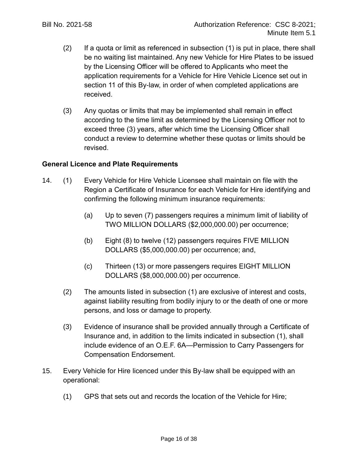- (2) If a quota or limit as referenced in subsection (1) is put in place, there shall be no waiting list maintained. Any new Vehicle for Hire Plates to be issued by the Licensing Officer will be offered to Applicants who meet the application requirements for a Vehicle for Hire Vehicle Licence set out in section 11 of this By-law, in order of when completed applications are received.
- (3) Any quotas or limits that may be implemented shall remain in effect according to the time limit as determined by the Licensing Officer not to exceed three (3) years, after which time the Licensing Officer shall conduct a review to determine whether these quotas or limits should be revised.

#### **General Licence and Plate Requirements**

- <span id="page-15-0"></span>14. (1) Every Vehicle for Hire Vehicle Licensee shall maintain on file with the Region a Certificate of Insurance for each Vehicle for Hire identifying and confirming the following minimum insurance requirements:
	- (a) Up to seven (7) passengers requires a minimum limit of liability of TWO MILLION DOLLARS (\$2,000,000.00) per occurrence;
	- (b) Eight (8) to twelve (12) passengers requires FIVE MILLION DOLLARS (\$5,000,000.00) per occurrence; and,
	- (c) Thirteen (13) or more passengers requires EIGHT MILLION DOLLARS (\$8,000,000.00) per occurrence.
	- (2) The amounts listed in subsection (1) are exclusive of interest and costs, against liability resulting from bodily injury to or the death of one or more persons, and loss or damage to property.
	- (3) Evidence of insurance shall be provided annually through a Certificate of Insurance and, in addition to the limits indicated in subsection (1), shall include evidence of an O.E.F. 6A—Permission to Carry Passengers for Compensation Endorsement.
- 15. Every Vehicle for Hire licenced under this By-law shall be equipped with an operational:
	- (1) GPS that sets out and records the location of the Vehicle for Hire;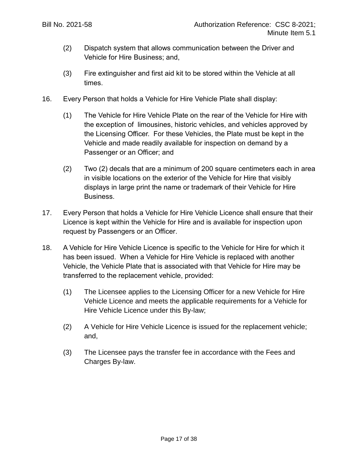- (2) Dispatch system that allows communication between the Driver and Vehicle for Hire Business; and,
- (3) Fire extinguisher and first aid kit to be stored within the Vehicle at all times.
- 16. Every Person that holds a Vehicle for Hire Vehicle Plate shall display:
	- (1) The Vehicle for Hire Vehicle Plate on the rear of the Vehicle for Hire with the exception of limousines, historic vehicles, and vehicles approved by the Licensing Officer. For these Vehicles, the Plate must be kept in the Vehicle and made readily available for inspection on demand by a Passenger or an Officer; and
	- (2) Two (2) decals that are a minimum of 200 square centimeters each in area in visible locations on the exterior of the Vehicle for Hire that visibly displays in large print the name or trademark of their Vehicle for Hire Business.
- 17. Every Person that holds a Vehicle for Hire Vehicle Licence shall ensure that their Licence is kept within the Vehicle for Hire and is available for inspection upon request by Passengers or an Officer.
- 18. A Vehicle for Hire Vehicle Licence is specific to the Vehicle for Hire for which it has been issued. When a Vehicle for Hire Vehicle is replaced with another Vehicle, the Vehicle Plate that is associated with that Vehicle for Hire may be transferred to the replacement vehicle, provided:
	- (1) The Licensee applies to the Licensing Officer for a new Vehicle for Hire Vehicle Licence and meets the applicable requirements for a Vehicle for Hire Vehicle Licence under this By-law;
	- (2) A Vehicle for Hire Vehicle Licence is issued for the replacement vehicle; and,
	- (3) The Licensee pays the transfer fee in accordance with the Fees and Charges By-law.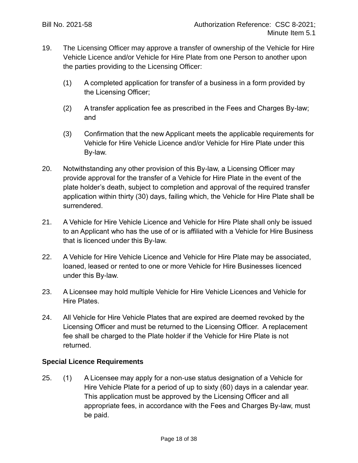- 19. The Licensing Officer may approve a transfer of ownership of the Vehicle for Hire Vehicle Licence and/or Vehicle for Hire Plate from one Person to another upon the parties providing to the Licensing Officer:
	- (1) A completed application for transfer of a business in a form provided by the Licensing Officer;
	- (2) A transfer application fee as prescribed in the Fees and Charges By-law; and
	- (3) Confirmation that the new Applicant meets the applicable requirements for Vehicle for Hire Vehicle Licence and/or Vehicle for Hire Plate under this By-law.
- 20. Notwithstanding any other provision of this By-law, a Licensing Officer may provide approval for the transfer of a Vehicle for Hire Plate in the event of the plate holder's death, subject to completion and approval of the required transfer application within thirty (30) days, failing which, the Vehicle for Hire Plate shall be surrendered.
- 21. A Vehicle for Hire Vehicle Licence and Vehicle for Hire Plate shall only be issued to an Applicant who has the use of or is affiliated with a Vehicle for Hire Business that is licenced under this By-law.
- 22. A Vehicle for Hire Vehicle Licence and Vehicle for Hire Plate may be associated, loaned, leased or rented to one or more Vehicle for Hire Businesses licenced under this By-law.
- 23. A Licensee may hold multiple Vehicle for Hire Vehicle Licences and Vehicle for Hire Plates.
- 24. All Vehicle for Hire Vehicle Plates that are expired are deemed revoked by the Licensing Officer and must be returned to the Licensing Officer. A replacement fee shall be charged to the Plate holder if the Vehicle for Hire Plate is not returned.

## **Special Licence Requirements**

25. (1) A Licensee may apply for a non-use status designation of a Vehicle for Hire Vehicle Plate for a period of up to sixty (60) days in a calendar year. This application must be approved by the Licensing Officer and all appropriate fees, in accordance with the Fees and Charges By-law, must be paid.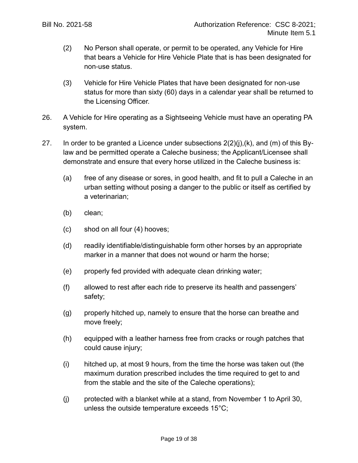- (2) No Person shall operate, or permit to be operated, any Vehicle for Hire that bears a Vehicle for Hire Vehicle Plate that is has been designated for non-use status.
- (3) Vehicle for Hire Vehicle Plates that have been designated for non-use status for more than sixty (60) days in a calendar year shall be returned to the Licensing Officer.
- 26. A Vehicle for Hire operating as a Sightseeing Vehicle must have an operating PA system.
- 27. In order to be granted a Licence under subsections  $2(2)(i)$ ,  $(k)$ , and  $(m)$  of this Bylaw and be permitted operate a Caleche business; the Applicant/Licensee shall demonstrate and ensure that every horse utilized in the Caleche business is:
	- (a) free of any disease or sores, in good health, and fit to pull a Caleche in an urban setting without posing a danger to the public or itself as certified by a veterinarian;
	- (b) clean;
	- (c) shod on all four (4) hooves;
	- (d) readily identifiable/distinguishable form other horses by an appropriate marker in a manner that does not wound or harm the horse;
	- (e) properly fed provided with adequate clean drinking water;
	- (f) allowed to rest after each ride to preserve its health and passengers' safety;
	- (g) properly hitched up, namely to ensure that the horse can breathe and move freely;
	- (h) equipped with a leather harness free from cracks or rough patches that could cause injury;
	- (i) hitched up, at most 9 hours, from the time the horse was taken out (the maximum duration prescribed includes the time required to get to and from the stable and the site of the Caleche operations);
	- (j) protected with a blanket while at a stand, from November 1 to April 30, unless the outside temperature exceeds 15°C;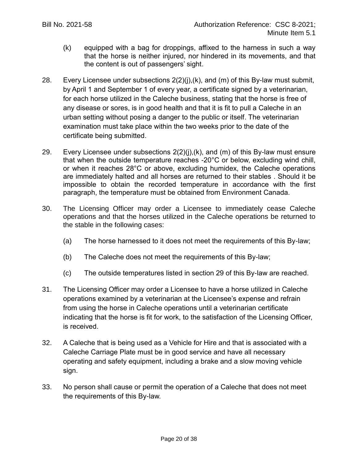- (k) equipped with a bag for droppings, affixed to the harness in such a way that the horse is neither injured, nor hindered in its movements, and that the content is out of passengers' sight.
- 28. Every Licensee under subsections 2(2)(j),(k), and (m) of this By-law must submit, by April 1 and September 1 of every year, a certificate signed by a veterinarian, for each horse utilized in the Caleche business, stating that the horse is free of any disease or sores, is in good health and that it is fit to pull a Caleche in an urban setting without posing a danger to the public or itself. The veterinarian examination must take place within the two weeks prior to the date of the certificate being submitted.
- 29. Every Licensee under subsections  $2(2)(i)$ ,  $(k)$ , and  $(m)$  of this By-law must ensure that when the outside temperature reaches -20°C or below, excluding wind chill, or when it reaches 28°C or above, excluding humidex, the Caleche operations are immediately halted and all horses are returned to their stables . Should it be impossible to obtain the recorded temperature in accordance with the first paragraph, the temperature must be obtained from Environment Canada.
- 30. The Licensing Officer may order a Licensee to immediately cease Caleche operations and that the horses utilized in the Caleche operations be returned to the stable in the following cases:
	- (a) The horse harnessed to it does not meet the requirements of this By-law;
	- (b) The Caleche does not meet the requirements of this By-law;
	- (c) The outside temperatures listed in section 29 of this By-law are reached.
- 31. The Licensing Officer may order a Licensee to have a horse utilized in Caleche operations examined by a veterinarian at the Licensee's expense and refrain from using the horse in Caleche operations until a veterinarian certificate indicating that the horse is fit for work, to the satisfaction of the Licensing Officer, is received.
- 32. A Caleche that is being used as a Vehicle for Hire and that is associated with a Caleche Carriage Plate must be in good service and have all necessary operating and safety equipment, including a brake and a slow moving vehicle sign.
- 33. No person shall cause or permit the operation of a Caleche that does not meet the requirements of this By-law.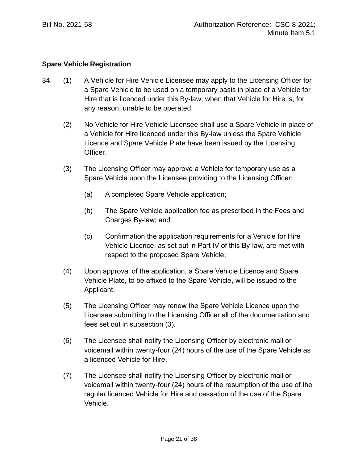## **Spare Vehicle Registration**

- 34. (1) A Vehicle for Hire Vehicle Licensee may apply to the Licensing Officer for a Spare Vehicle to be used on a temporary basis in place of a Vehicle for Hire that is licenced under this By-law, when that Vehicle for Hire is, for any reason, unable to be operated.
	- (2) No Vehicle for Hire Vehicle Licensee shall use a Spare Vehicle in place of a Vehicle for Hire licenced under this By-law unless the Spare Vehicle Licence and Spare Vehicle Plate have been issued by the Licensing Officer.
	- (3) The Licensing Officer may approve a Vehicle for temporary use as a Spare Vehicle upon the Licensee providing to the Licensing Officer:
		- (a) A completed Spare Vehicle application;
		- (b) The Spare Vehicle application fee as prescribed in the Fees and Charges By-law; and
		- (c) Confirmation the application requirements for a Vehicle for Hire Vehicle Licence, as set out in Part IV of this By-law, are met with respect to the proposed Spare Vehicle;
	- (4) Upon approval of the application, a Spare Vehicle Licence and Spare Vehicle Plate, to be affixed to the Spare Vehicle, will be issued to the Applicant.
	- (5) The Licensing Officer may renew the Spare Vehicle Licence upon the Licensee submitting to the Licensing Officer all of the documentation and fees set out in subsection (3).
	- (6) The Licensee shall notify the Licensing Officer by electronic mail or voicemail within twenty-four (24) hours of the use of the Spare Vehicle as a licenced Vehicle for Hire.
	- (7) The Licensee shall notify the Licensing Officer by electronic mail or voicemail within twenty-four (24) hours of the resumption of the use of the regular licenced Vehicle for Hire and cessation of the use of the Spare Vehicle.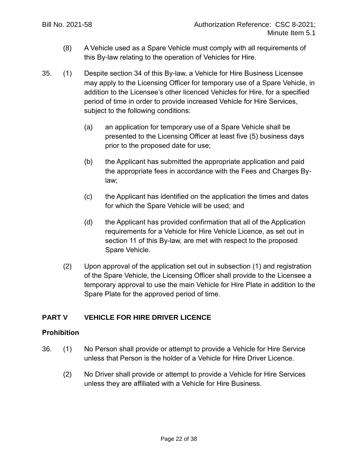- (8) A Vehicle used as a Spare Vehicle must comply with all requirements of this By-law relating to the operation of Vehicles for Hire.
- 35. (1) Despite section 34 of this By-law, a Vehicle for Hire Business Licensee may apply to the Licensing Officer for temporary use of a Spare Vehicle, in addition to the Licensee's other licenced Vehicles for Hire, for a specified period of time in order to provide increased Vehicle for Hire Services, subject to the following conditions:
	- (a) an application for temporary use of a Spare Vehicle shall be presented to the Licensing Officer at least five (5) business days prior to the proposed date for use;
	- (b) the Applicant has submitted the appropriate application and paid the appropriate fees in accordance with the Fees and Charges Bylaw;
	- (c) the Applicant has identified on the application the times and dates for which the Spare Vehicle will be used; and
	- (d) the Applicant has provided confirmation that all of the Application requirements for a Vehicle for Hire Vehicle Licence, as set out in section [11](#page-12-0) of this By-law, are met with respect to the proposed Spare Vehicle.
	- (2) Upon approval of the application set out in subsection (1) and registration of the Spare Vehicle, the Licensing Officer shall provide to the Licensee a temporary approval to use the main Vehicle for Hire Plate in addition to the Spare Plate for the approved period of time.

# **PART V VEHICLE FOR HIRE DRIVER LICENCE**

#### **Prohibition**

- 36. (1) No Person shall provide or attempt to provide a Vehicle for Hire Service unless that Person is the holder of a Vehicle for Hire Driver Licence.
	- (2) No Driver shall provide or attempt to provide a Vehicle for Hire Services unless they are affiliated with a Vehicle for Hire Business.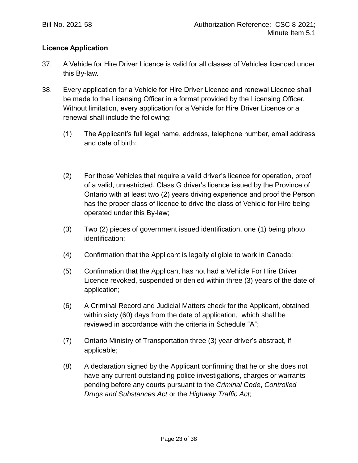# **Licence Application**

- 37. A Vehicle for Hire Driver Licence is valid for all classes of Vehicles licenced under this By-law.
- 38. Every application for a Vehicle for Hire Driver Licence and renewal Licence shall be made to the Licensing Officer in a format provided by the Licensing Officer. Without limitation, every application for a Vehicle for Hire Driver Licence or a renewal shall include the following:
	- (1) The Applicant's full legal name, address, telephone number, email address and date of birth;
	- (2) For those Vehicles that require a valid driver's licence for operation, proof of a valid, unrestricted, Class G driver's licence issued by the Province of Ontario with at least two (2) years driving experience and proof the Person has the proper class of licence to drive the class of Vehicle for Hire being operated under this By-law;
	- (3) Two (2) pieces of government issued identification, one (1) being photo identification;
	- (4) Confirmation that the Applicant is legally eligible to work in Canada;
	- (5) Confirmation that the Applicant has not had a Vehicle For Hire Driver Licence revoked, suspended or denied within three (3) years of the date of application;
	- (6) A Criminal Record and Judicial Matters check for the Applicant, obtained within sixty (60) days from the date of application, which shall be reviewed in accordance with the criteria in Schedule "A";
	- (7) Ontario Ministry of Transportation three (3) year driver's abstract, if applicable;
	- (8) A declaration signed by the Applicant confirming that he or she does not have any current outstanding police investigations, charges or warrants pending before any courts pursuant to the *Criminal Code*, *Controlled Drugs and Substances Act* or the *Highway Traffic Act*;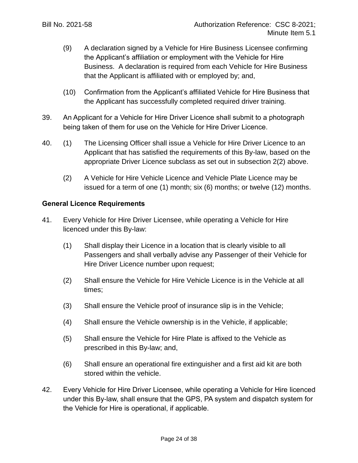- (9) A declaration signed by a Vehicle for Hire Business Licensee confirming the Applicant's affiliation or employment with the Vehicle for Hire Business. A declaration is required from each Vehicle for Hire Business that the Applicant is affiliated with or employed by; and,
- (10) Confirmation from the Applicant's affiliated Vehicle for Hire Business that the Applicant has successfully completed required driver training.
- 39. An Applicant for a Vehicle for Hire Driver Licence shall submit to a photograph being taken of them for use on the Vehicle for Hire Driver Licence.
- 40. (1) The Licensing Officer shall issue a Vehicle for Hire Driver Licence to an Applicant that has satisfied the requirements of this By-law, based on the appropriate Driver Licence subclass as set out in subsection 2(2) above.
	- (2) A Vehicle for Hire Vehicle Licence and Vehicle Plate Licence may be issued for a term of one (1) month; six (6) months; or twelve (12) months.

## **General Licence Requirements**

- 41. Every Vehicle for Hire Driver Licensee, while operating a Vehicle for Hire licenced under this By-law:
	- (1) Shall display their Licence in a location that is clearly visible to all Passengers and shall verbally advise any Passenger of their Vehicle for Hire Driver Licence number upon request;
	- (2) Shall ensure the Vehicle for Hire Vehicle Licence is in the Vehicle at all times;
	- (3) Shall ensure the Vehicle proof of insurance slip is in the Vehicle;
	- (4) Shall ensure the Vehicle ownership is in the Vehicle, if applicable;
	- (5) Shall ensure the Vehicle for Hire Plate is affixed to the Vehicle as prescribed in this By-law; and,
	- (6) Shall ensure an operational fire extinguisher and a first aid kit are both stored within the vehicle.
- 42. Every Vehicle for Hire Driver Licensee, while operating a Vehicle for Hire licenced under this By-law, shall ensure that the GPS, PA system and dispatch system for the Vehicle for Hire is operational, if applicable.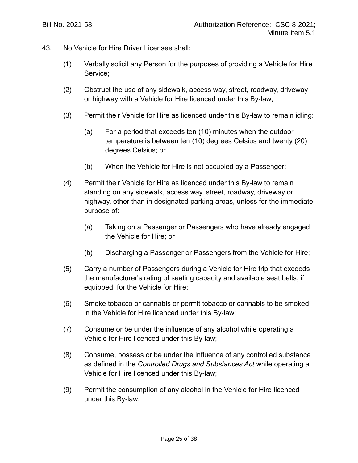- 43. No Vehicle for Hire Driver Licensee shall:
	- (1) Verbally solicit any Person for the purposes of providing a Vehicle for Hire Service;
	- (2) Obstruct the use of any sidewalk, access way, street, roadway, driveway or highway with a Vehicle for Hire licenced under this By-law;
	- (3) Permit their Vehicle for Hire as licenced under this By-law to remain idling:
		- (a) For a period that exceeds ten (10) minutes when the outdoor temperature is between ten (10) degrees Celsius and twenty (20) degrees Celsius; or
		- (b) When the Vehicle for Hire is not occupied by a Passenger;
	- (4) Permit their Vehicle for Hire as licenced under this By-law to remain standing on any sidewalk, access way, street, roadway, driveway or highway, other than in designated parking areas, unless for the immediate purpose of:
		- (a) Taking on a Passenger or Passengers who have already engaged the Vehicle for Hire; or
		- (b) Discharging a Passenger or Passengers from the Vehicle for Hire;
	- (5) Carry a number of Passengers during a Vehicle for Hire trip that exceeds the manufacturer's rating of seating capacity and available seat belts, if equipped, for the Vehicle for Hire;
	- (6) Smoke tobacco or cannabis or permit tobacco or cannabis to be smoked in the Vehicle for Hire licenced under this By-law;
	- (7) Consume or be under the influence of any alcohol while operating a Vehicle for Hire licenced under this By-law;
	- (8) Consume, possess or be under the influence of any controlled substance as defined in the *Controlled Drugs and Substances Act* while operating a Vehicle for Hire licenced under this By-law;
	- (9) Permit the consumption of any alcohol in the Vehicle for Hire licenced under this By-law;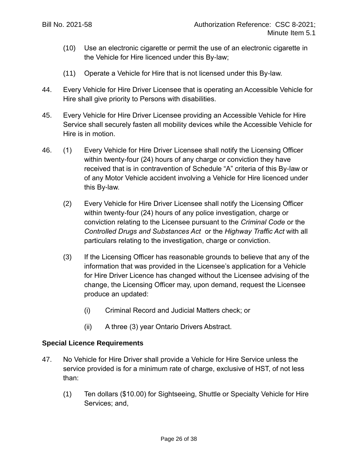- (10) Use an electronic cigarette or permit the use of an electronic cigarette in the Vehicle for Hire licenced under this By-law;
- (11) Operate a Vehicle for Hire that is not licensed under this By-law.
- 44. Every Vehicle for Hire Driver Licensee that is operating an Accessible Vehicle for Hire shall give priority to Persons with disabilities.
- 45. Every Vehicle for Hire Driver Licensee providing an Accessible Vehicle for Hire Service shall securely fasten all mobility devices while the Accessible Vehicle for Hire is in motion.
- 46. (1) Every Vehicle for Hire Driver Licensee shall notify the Licensing Officer within twenty-four (24) hours of any charge or conviction they have received that is in contravention of Schedule "A" criteria of this By-law or of any Motor Vehicle accident involving a Vehicle for Hire licenced under this By-law.
	- (2) Every Vehicle for Hire Driver Licensee shall notify the Licensing Officer within twenty-four (24) hours of any police investigation, charge or conviction relating to the Licensee pursuant to the *Criminal Code* or the *Controlled Drugs and Substances Act* or the *Highway Traffic Act* with all particulars relating to the investigation, charge or conviction.
	- (3) If the Licensing Officer has reasonable grounds to believe that any of the information that was provided in the Licensee's application for a Vehicle for Hire Driver Licence has changed without the Licensee advising of the change, the Licensing Officer may, upon demand, request the Licensee produce an updated:
		- (i) Criminal Record and Judicial Matters check; or
		- (ii) A three (3) year Ontario Drivers Abstract.

## **Special Licence Requirements**

- 47. No Vehicle for Hire Driver shall provide a Vehicle for Hire Service unless the service provided is for a minimum rate of charge, exclusive of HST, of not less than:
	- (1) Ten dollars (\$10.00) for Sightseeing, Shuttle or Specialty Vehicle for Hire Services; and,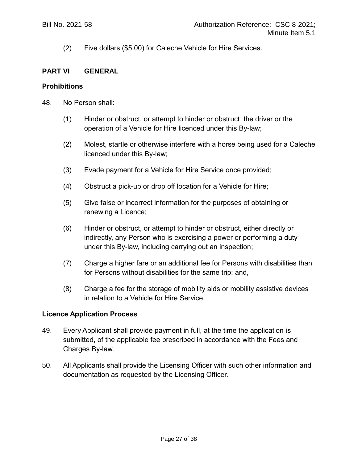(2) Five dollars (\$5.00) for Caleche Vehicle for Hire Services.

#### **PART VI GENERAL**

#### **Prohibitions**

- 48. No Person shall:
	- (1) Hinder or obstruct, or attempt to hinder or obstruct the driver or the operation of a Vehicle for Hire licenced under this By-law;
	- (2) Molest, startle or otherwise interfere with a horse being used for a Caleche licenced under this By-law;
	- (3) Evade payment for a Vehicle for Hire Service once provided;
	- (4) Obstruct a pick-up or drop off location for a Vehicle for Hire;
	- (5) Give false or incorrect information for the purposes of obtaining or renewing a Licence;
	- (6) Hinder or obstruct, or attempt to hinder or obstruct, either directly or indirectly, any Person who is exercising a power or performing a duty under this By-law, including carrying out an inspection;
	- (7) Charge a higher fare or an additional fee for Persons with disabilities than for Persons without disabilities for the same trip; and,
	- (8) Charge a fee for the storage of mobility aids or mobility assistive devices in relation to a Vehicle for Hire Service.

#### **Licence Application Process**

- 49. Every Applicant shall provide payment in full, at the time the application is submitted, of the applicable fee prescribed in accordance with the Fees and Charges By-law.
- 50. All Applicants shall provide the Licensing Officer with such other information and documentation as requested by the Licensing Officer.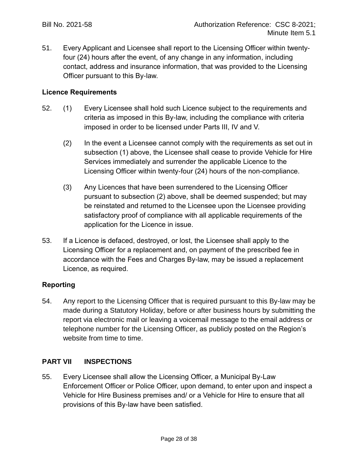51. Every Applicant and Licensee shall report to the Licensing Officer within twentyfour (24) hours after the event, of any change in any information, including contact, address and insurance information, that was provided to the Licensing Officer pursuant to this By-law.

#### **Licence Requirements**

- 52. (1) Every Licensee shall hold such Licence subject to the requirements and criteria as imposed in this By-law, including the compliance with criteria imposed in order to be licensed under Parts III, IV and V.
	- (2) In the event a Licensee cannot comply with the requirements as set out in subsection (1) above, the Licensee shall cease to provide Vehicle for Hire Services immediately and surrender the applicable Licence to the Licensing Officer within twenty-four (24) hours of the non-compliance.
	- (3) Any Licences that have been surrendered to the Licensing Officer pursuant to subsection (2) above, shall be deemed suspended; but may be reinstated and returned to the Licensee upon the Licensee providing satisfactory proof of compliance with all applicable requirements of the application for the Licence in issue.
- 53. If a Licence is defaced, destroyed, or lost, the Licensee shall apply to the Licensing Officer for a replacement and, on payment of the prescribed fee in accordance with the Fees and Charges By-law, may be issued a replacement Licence, as required.

## **Reporting**

54. Any report to the Licensing Officer that is required pursuant to this By-law may be made during a Statutory Holiday, before or after business hours by submitting the report via electronic mail or leaving a voicemail message to the email address or telephone number for the Licensing Officer, as publicly posted on the Region's website from time to time.

## **PART VII INSPECTIONS**

55. Every Licensee shall allow the Licensing Officer, a Municipal By-Law Enforcement Officer or Police Officer, upon demand, to enter upon and inspect a Vehicle for Hire Business premises and/ or a Vehicle for Hire to ensure that all provisions of this By-law have been satisfied.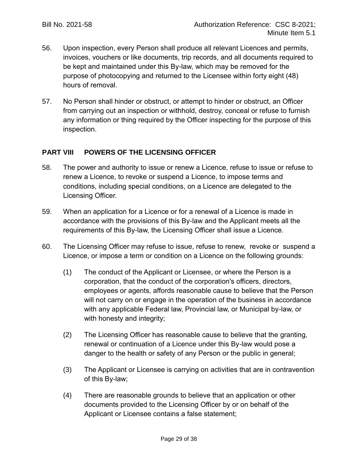- 56. Upon inspection, every Person shall produce all relevant Licences and permits, invoices, vouchers or like documents, trip records, and all documents required to be kept and maintained under this By-law, which may be removed for the purpose of photocopying and returned to the Licensee within forty eight (48) hours of removal.
- 57. No Person shall hinder or obstruct, or attempt to hinder or obstruct, an Officer from carrying out an inspection or withhold, destroy, conceal or refuse to furnish any information or thing required by the Officer inspecting for the purpose of this inspection.

## **PART VIII POWERS OF THE LICENSING OFFICER**

- 58. The power and authority to issue or renew a Licence, refuse to issue or refuse to renew a Licence, to revoke or suspend a Licence, to impose terms and conditions, including special conditions, on a Licence are delegated to the Licensing Officer.
- 59. When an application for a Licence or for a renewal of a Licence is made in accordance with the provisions of this By-law and the Applicant meets all the requirements of this By-law, the Licensing Officer shall issue a Licence.
- 60. The Licensing Officer may refuse to issue, refuse to renew, revoke or suspend a Licence, or impose a term or condition on a Licence on the following grounds:
	- (1) The conduct of the Applicant or Licensee, or where the Person is a corporation, that the conduct of the corporation's officers, directors, employees or agents, affords reasonable cause to believe that the Person will not carry on or engage in the operation of the business in accordance with any applicable Federal law, Provincial law, or Municipal by-law, or with honesty and integrity;
	- (2) The Licensing Officer has reasonable cause to believe that the granting, renewal or continuation of a Licence under this By-law would pose a danger to the health or safety of any Person or the public in general;
	- (3) The Applicant or Licensee is carrying on activities that are in contravention of this By-law;
	- (4) There are reasonable grounds to believe that an application or other documents provided to the Licensing Officer by or on behalf of the Applicant or Licensee contains a false statement;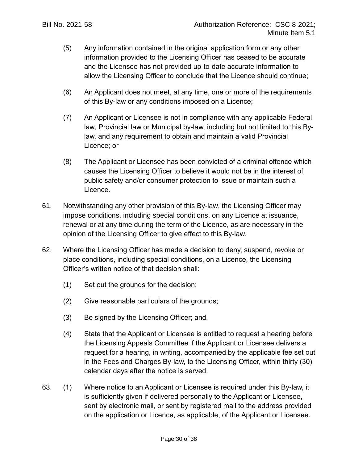- (5) Any information contained in the original application form or any other information provided to the Licensing Officer has ceased to be accurate and the Licensee has not provided up-to-date accurate information to allow the Licensing Officer to conclude that the Licence should continue;
- (6) An Applicant does not meet, at any time, one or more of the requirements of this By-law or any conditions imposed on a Licence;
- (7) An Applicant or Licensee is not in compliance with any applicable Federal law, Provincial law or Municipal by-law, including but not limited to this Bylaw, and any requirement to obtain and maintain a valid Provincial Licence; or
- (8) The Applicant or Licensee has been convicted of a criminal offence which causes the Licensing Officer to believe it would not be in the interest of public safety and/or consumer protection to issue or maintain such a Licence.
- 61. Notwithstanding any other provision of this By-law, the Licensing Officer may impose conditions, including special conditions, on any Licence at issuance, renewal or at any time during the term of the Licence, as are necessary in the opinion of the Licensing Officer to give effect to this By-law.
- 62. Where the Licensing Officer has made a decision to deny, suspend, revoke or place conditions, including special conditions, on a Licence, the Licensing Officer's written notice of that decision shall:
	- (1) Set out the grounds for the decision;
	- (2) Give reasonable particulars of the grounds;
	- (3) Be signed by the Licensing Officer; and,
	- (4) State that the Applicant or Licensee is entitled to request a hearing before the Licensing Appeals Committee if the Applicant or Licensee delivers a request for a hearing, in writing, accompanied by the applicable fee set out in the Fees and Charges By-law, to the Licensing Officer, within thirty (30) calendar days after the notice is served.
- 63. (1) Where notice to an Applicant or Licensee is required under this By-law, it is sufficiently given if delivered personally to the Applicant or Licensee, sent by electronic mail, or sent by registered mail to the address provided on the application or Licence, as applicable, of the Applicant or Licensee.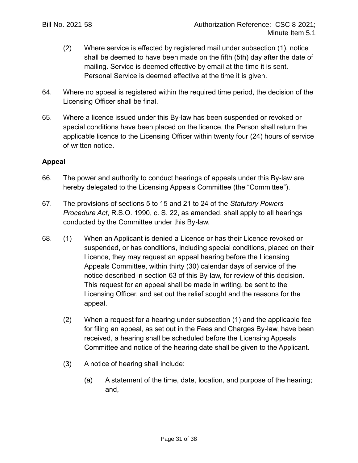- (2) Where service is effected by registered mail under subsection (1), notice shall be deemed to have been made on the fifth (5th) day after the date of mailing. Service is deemed effective by email at the time it is sent. Personal Service is deemed effective at the time it is given.
- 64. Where no appeal is registered within the required time period, the decision of the Licensing Officer shall be final.
- 65. Where a licence issued under this By-law has been suspended or revoked or special conditions have been placed on the licence, the Person shall return the applicable licence to the Licensing Officer within twenty four (24) hours of service of written notice.

# **Appeal**

- 66. The power and authority to conduct hearings of appeals under this By-law are hereby delegated to the Licensing Appeals Committee (the "Committee").
- 67. The provisions of sections 5 to 15 and 21 to 24 of the *Statutory Powers Procedure Act*, R.S.O. 1990, c. S. 22, as amended, shall apply to all hearings conducted by the Committee under this By-law.
- 68. (1) When an Applicant is denied a Licence or has their Licence revoked or suspended, or has conditions, including special conditions, placed on their Licence, they may request an appeal hearing before the Licensing Appeals Committee, within thirty (30) calendar days of service of the notice described in section 63 of this By-law, for review of this decision. This request for an appeal shall be made in writing, be sent to the Licensing Officer, and set out the relief sought and the reasons for the appeal.
	- (2) When a request for a hearing under subsection (1) and the applicable fee for filing an appeal, as set out in the Fees and Charges By-law, have been received, a hearing shall be scheduled before the Licensing Appeals Committee and notice of the hearing date shall be given to the Applicant.
	- (3) A notice of hearing shall include:
		- (a) A statement of the time, date, location, and purpose of the hearing; and,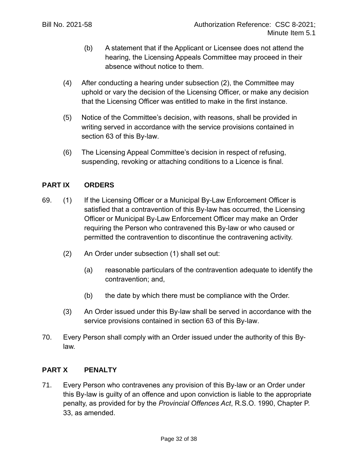- (b) A statement that if the Applicant or Licensee does not attend the hearing, the Licensing Appeals Committee may proceed in their absence without notice to them.
- (4) After conducting a hearing under subsection (2), the Committee may uphold or vary the decision of the Licensing Officer, or make any decision that the Licensing Officer was entitled to make in the first instance.
- (5) Notice of the Committee's decision, with reasons, shall be provided in writing served in accordance with the service provisions contained in section 63 of this By-law.
- (6) The Licensing Appeal Committee's decision in respect of refusing, suspending, revoking or attaching conditions to a Licence is final.

# **PART IX ORDERS**

- 69. (1) If the Licensing Officer or a Municipal By-Law Enforcement Officer is satisfied that a contravention of this By-law has occurred, the Licensing Officer or Municipal By-Law Enforcement Officer may make an Order requiring the Person who contravened this By-law or who caused or permitted the contravention to discontinue the contravening activity.
	- (2) An Order under subsection (1) shall set out:
		- (a) reasonable particulars of the contravention adequate to identify the contravention; and,
		- (b) the date by which there must be compliance with the Order.
	- (3) An Order issued under this By-law shall be served in accordance with the service provisions contained in section 63 of this By-law.
- 70. Every Person shall comply with an Order issued under the authority of this Bylaw.

## **PART X PENALTY**

71. Every Person who contravenes any provision of this By-law or an Order under this By-law is guilty of an offence and upon conviction is liable to the appropriate penalty, as provided for by the *Provincial Offences Act*, R.S.O. 1990, Chapter P. 33, as amended.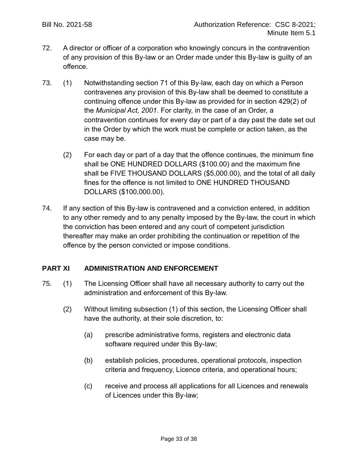- 72. A director or officer of a corporation who knowingly concurs in the contravention of any provision of this By-law or an Order made under this By-law is guilty of an offence.
- 73. (1) Notwithstanding section 71 of this By-law, each day on which a Person contravenes any provision of this By-law shall be deemed to constitute a continuing offence under this By-law as provided for in section 429(2) of the *Municipal Act, 2001*. For clarity, in the case of an Order, a contravention continues for every day or part of a day past the date set out in the Order by which the work must be complete or action taken, as the case may be.
	- (2) For each day or part of a day that the offence continues, the minimum fine shall be ONE HUNDRED DOLLARS (\$100.00) and the maximum fine shall be FIVE THOUSAND DOLLARS (\$5,000.00), and the total of all daily fines for the offence is not limited to ONE HUNDRED THOUSAND DOLLARS (\$100,000.00).
- 74. If any section of this By-law is contravened and a conviction entered, in addition to any other remedy and to any penalty imposed by the By-law, the court in which the conviction has been entered and any court of competent jurisdiction thereafter may make an order prohibiting the continuation or repetition of the offence by the person convicted or impose conditions.

# **PART XI ADMINISTRATION AND ENFORCEMENT**

- 75. (1) The Licensing Officer shall have all necessary authority to carry out the administration and enforcement of this By-law.
	- (2) Without limiting subsection (1) of this section, the Licensing Officer shall have the authority, at their sole discretion, to:
		- (a) prescribe administrative forms, registers and electronic data software required under this By-law;
		- (b) establish policies, procedures, operational protocols, inspection criteria and frequency, Licence criteria, and operational hours;
		- (c) receive and process all applications for all Licences and renewals of Licences under this By-law;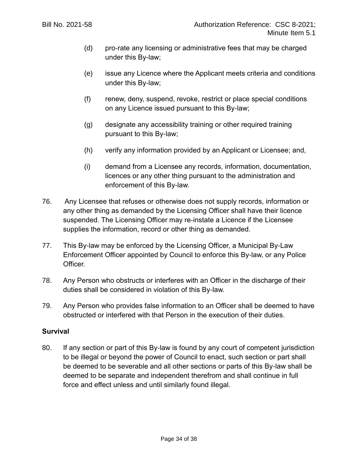- (d) pro-rate any licensing or administrative fees that may be charged under this By-law;
- (e) issue any Licence where the Applicant meets criteria and conditions under this By-law;
- (f) renew, deny, suspend, revoke, restrict or place special conditions on any Licence issued pursuant to this By-law;
- (g) designate any accessibility training or other required training pursuant to this By-law;
- (h) verify any information provided by an Applicant or Licensee; and,
- (i) demand from a Licensee any records, information, documentation, licences or any other thing pursuant to the administration and enforcement of this By-law.
- 76. Any Licensee that refuses or otherwise does not supply records, information or any other thing as demanded by the Licensing Officer shall have their licence suspended. The Licensing Officer may re-instate a Licence if the Licensee supplies the information, record or other thing as demanded.
- 77. This By-law may be enforced by the Licensing Officer, a Municipal By-Law Enforcement Officer appointed by Council to enforce this By-law, or any Police Officer.
- 78. Any Person who obstructs or interferes with an Officer in the discharge of their duties shall be considered in violation of this By-law.
- 79. Any Person who provides false information to an Officer shall be deemed to have obstructed or interfered with that Person in the execution of their duties.

## **Survival**

80. If any section or part of this By-law is found by any court of competent jurisdiction to be illegal or beyond the power of Council to enact, such section or part shall be deemed to be severable and all other sections or parts of this By-law shall be deemed to be separate and independent therefrom and shall continue in full force and effect unless and until similarly found illegal.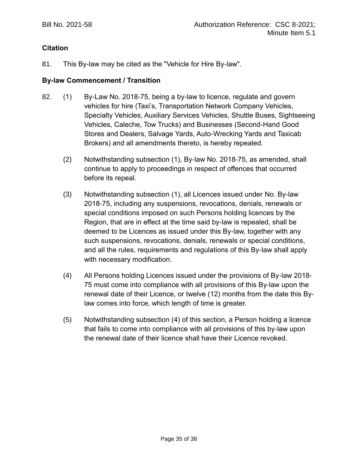# **Citation**

81. This By-law may be cited as the "Vehicle for Hire By-law".

## **By-law Commencement / Transition**

- 82. (1) By-Law No. 2018-75, being a by-law to licence, regulate and govern vehicles for hire (Taxi's, Transportation Network Company Vehicles, Specialty Vehicles, Auxiliary Services Vehicles, Shuttle Buses, Sightseeing Vehicles, Caleche, Tow Trucks) and Businesses (Second-Hand Good Stores and Dealers, Salvage Yards, Auto-Wrecking Yards and Taxicab Brokers) and all amendments thereto, is hereby repealed.
	- (2) Notwithstanding subsection (1), By-law No. 2018-75, as amended, shall continue to apply to proceedings in respect of offences that occurred before its repeal.
	- (3) Notwithstanding subsection (1), all Licences issued under No. By-law 2018-75, including any suspensions, revocations, denials, renewals or special conditions imposed on such Persons holding licences by the Region, that are in effect at the time said by-law is repealed, shall be deemed to be Licences as issued under this By-law, together with any such suspensions, revocations, denials, renewals or special conditions, and all the rules, requirements and regulations of this By-law shall apply with necessary modification.
	- (4) All Persons holding Licences issued under the provisions of By-law 2018- 75 must come into compliance with all provisions of this By-law upon the renewal date of their Licence, or twelve (12) months from the date this Bylaw comes into force, which length of time is greater.
	- (5) Notwithstanding subsection (4) of this section, a Person holding a licence that fails to come into compliance with all provisions of this by-law upon the renewal date of their licence shall have their Licence revoked.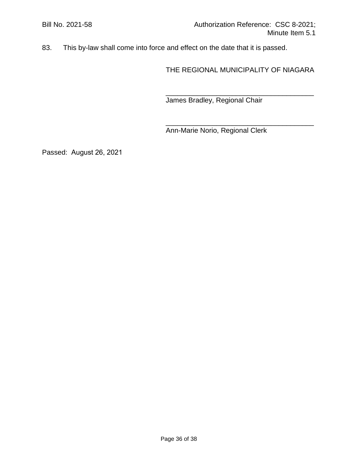83. This by-law shall come into force and effect on the date that it is passed.

THE REGIONAL MUNICIPALITY OF NIAGARA

\_\_\_\_\_\_\_\_\_\_\_\_\_\_\_\_\_\_\_\_\_\_\_\_\_\_\_\_\_\_\_\_\_\_\_\_\_\_

\_\_\_\_\_\_\_\_\_\_\_\_\_\_\_\_\_\_\_\_\_\_\_\_\_\_\_\_\_\_\_\_\_\_\_\_\_\_

James Bradley, Regional Chair

Ann-Marie Norio, Regional Clerk

Passed: August 26, 2021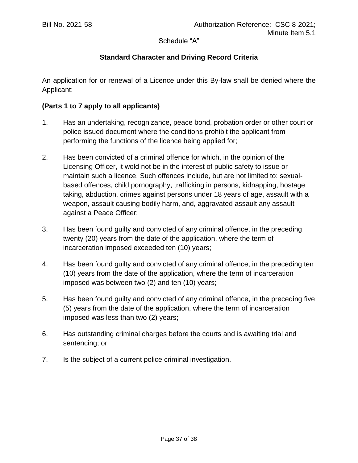Schedule "A"

#### **Standard Character and Driving Record Criteria**

An application for or renewal of a Licence under this By-law shall be denied where the Applicant:

#### **(Parts 1 to 7 apply to all applicants)**

- 1. Has an undertaking, recognizance, peace bond, probation order or other court or police issued document where the conditions prohibit the applicant from performing the functions of the licence being applied for;
- 2. Has been convicted of a criminal offence for which, in the opinion of the Licensing Officer, it wold not be in the interest of public safety to issue or maintain such a licence. Such offences include, but are not limited to: sexualbased offences, child pornography, trafficking in persons, kidnapping, hostage taking, abduction, crimes against persons under 18 years of age, assault with a weapon, assault causing bodily harm, and, aggravated assault any assault against a Peace Officer;
- 3. Has been found guilty and convicted of any criminal offence, in the preceding twenty (20) years from the date of the application, where the term of incarceration imposed exceeded ten (10) years;
- 4. Has been found guilty and convicted of any criminal offence, in the preceding ten (10) years from the date of the application, where the term of incarceration imposed was between two (2) and ten (10) years;
- 5. Has been found guilty and convicted of any criminal offence, in the preceding five (5) years from the date of the application, where the term of incarceration imposed was less than two (2) years;
- 6. Has outstanding criminal charges before the courts and is awaiting trial and sentencing; or
- 7. Is the subject of a current police criminal investigation.